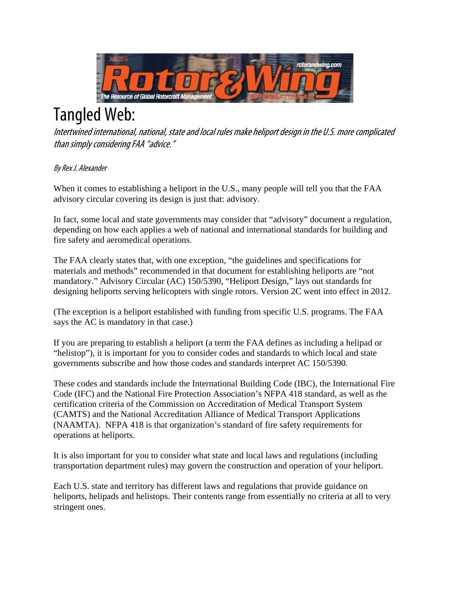

## Tangled Web:

Intertwined international, national, state and local rules make heliport design in the U.S. more complicated than simply considering FAA ''advice.''

## By Rex J. Alexander

When it comes to establishing a heliport in the U.S., many people will tell you that the FAA advisory circular covering its design is just that: advisory.

In fact, some local and state governments may consider that "advisory" document a regulation, depending on how each applies a web of national and international standards for building and fire safety and aeromedical operations.

The FAA clearly states that, with one exception, "the guidelines and specifications for materials and methods" recommended in that document for establishing heliports are "not mandatory." Advisory Circular (AC) 150/5390, "Heliport Design," lays out standards for designing heliports serving helicopters with single rotors. Version 2C went into effect in 2012.

(The exception is a heliport established with funding from specific U.S. programs. The FAA says the AC is mandatory in that case.)

If you are preparing to establish a heliport (a term the FAA defines as including a helipad or "helistop"), it is important for you to consider codes and standards to which local and state governments subscribe and how those codes and standards interpret AC 150/5390.

These codes and standards include the International Building Code (IBC), the International Fire Code (IFC) and the National Fire Protection Association's NFPA 418 standard, as well as the certification criteria of the Commission on Accreditation of Medical Transport System (CAMTS) and the National Accreditation Alliance of Medical Transport Applications (NAAMTA). NFPA 418 is that organization's standard of fire safety requirements for operations at heliports.

It is also important for you to consider what state and local laws and regulations (including transportation department rules) may govern the construction and operation of your heliport.

Each U.S. state and territory has different laws and regulations that provide guidance on heliports, helipads and helistops. Their contents range from essentially no criteria at all to very stringent ones.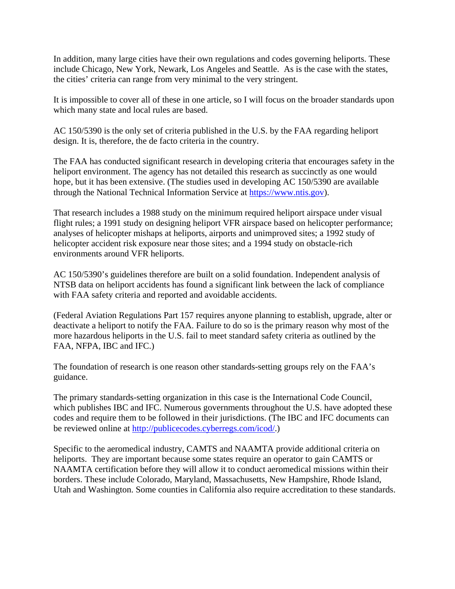In addition, many large cities have their own regulations and codes governing heliports. These include Chicago, New York, Newark, Los Angeles and Seattle. As is the case with the states, the cities' criteria can range from very minimal to the very stringent.

It is impossible to cover all of these in one article, so I will focus on the broader standards upon which many state and local rules are based.

AC 150/5390 is the only set of criteria published in the U.S. by the FAA regarding heliport design. It is, therefore, the de facto criteria in the country.

The FAA has conducted significant research in developing criteria that encourages safety in the heliport environment. The agency has not detailed this research as succinctly as one would hope, but it has been extensive. (The studies used in developing AC 150/5390 are available through the National Technical Information Service at https://www.ntis.gov).

That research includes a 1988 study on the minimum required heliport airspace under visual flight rules; a 1991 study on designing heliport VFR airspace based on helicopter performance; analyses of helicopter mishaps at heliports, airports and unimproved sites; a 1992 study of helicopter accident risk exposure near those sites; and a 1994 study on obstacle-rich environments around VFR heliports.

AC 150/5390's guidelines therefore are built on a solid foundation. Independent analysis of NTSB data on heliport accidents has found a significant link between the lack of compliance with FAA safety criteria and reported and avoidable accidents.

(Federal Aviation Regulations Part 157 requires anyone planning to establish, upgrade, alter or deactivate a heliport to notify the FAA. Failure to do so is the primary reason why most of the more hazardous heliports in the U.S. fail to meet standard safety criteria as outlined by the FAA, NFPA, IBC and IFC.)

The foundation of research is one reason other standards-setting groups rely on the FAA's guidance.

The primary standards-setting organization in this case is the International Code Council, which publishes IBC and IFC. Numerous governments throughout the U.S. have adopted these codes and require them to be followed in their jurisdictions. (The IBC and IFC documents can be reviewed online at http://publicecodes.cyberregs.com/icod/.)

Specific to the aeromedical industry, CAMTS and NAAMTA provide additional criteria on heliports. They are important because some states require an operator to gain CAMTS or NAAMTA certification before they will allow it to conduct aeromedical missions within their borders. These include Colorado, Maryland, Massachusetts, New Hampshire, Rhode Island, Utah and Washington. Some counties in California also require accreditation to these standards.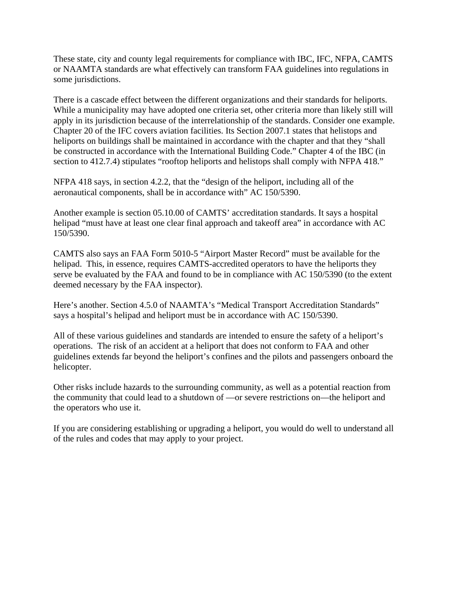These state, city and county legal requirements for compliance with IBC, IFC, NFPA, CAMTS or NAAMTA standards are what effectively can transform FAA guidelines into regulations in some jurisdictions.

There is a cascade effect between the different organizations and their standards for heliports. While a municipality may have adopted one criteria set, other criteria more than likely still will apply in its jurisdiction because of the interrelationship of the standards. Consider one example. Chapter 20 of the IFC covers aviation facilities. Its Section 2007.1 states that helistops and heliports on buildings shall be maintained in accordance with the chapter and that they "shall be constructed in accordance with the International Building Code." Chapter 4 of the IBC (in section to 412.7.4) stipulates "rooftop heliports and helistops shall comply with NFPA 418."

NFPA 418 says, in section 4.2.2, that the "design of the heliport, including all of the aeronautical components, shall be in accordance with" AC 150/5390.

Another example is section 05.10.00 of CAMTS' accreditation standards. It says a hospital helipad "must have at least one clear final approach and takeoff area" in accordance with AC 150/5390.

CAMTS also says an FAA Form 5010-5 "Airport Master Record" must be available for the helipad. This, in essence, requires CAMTS-accredited operators to have the heliports they serve be evaluated by the FAA and found to be in compliance with AC 150/5390 (to the extent deemed necessary by the FAA inspector).

Here's another. Section 4.5.0 of NAAMTA's "Medical Transport Accreditation Standards" says a hospital's helipad and heliport must be in accordance with AC 150/5390.

All of these various guidelines and standards are intended to ensure the safety of a heliport's operations. The risk of an accident at a heliport that does not conform to FAA and other guidelines extends far beyond the heliport's confines and the pilots and passengers onboard the helicopter.

Other risks include hazards to the surrounding community, as well as a potential reaction from the community that could lead to a shutdown of —or severe restrictions on—the heliport and the operators who use it.

If you are considering establishing or upgrading a heliport, you would do well to understand all of the rules and codes that may apply to your project.